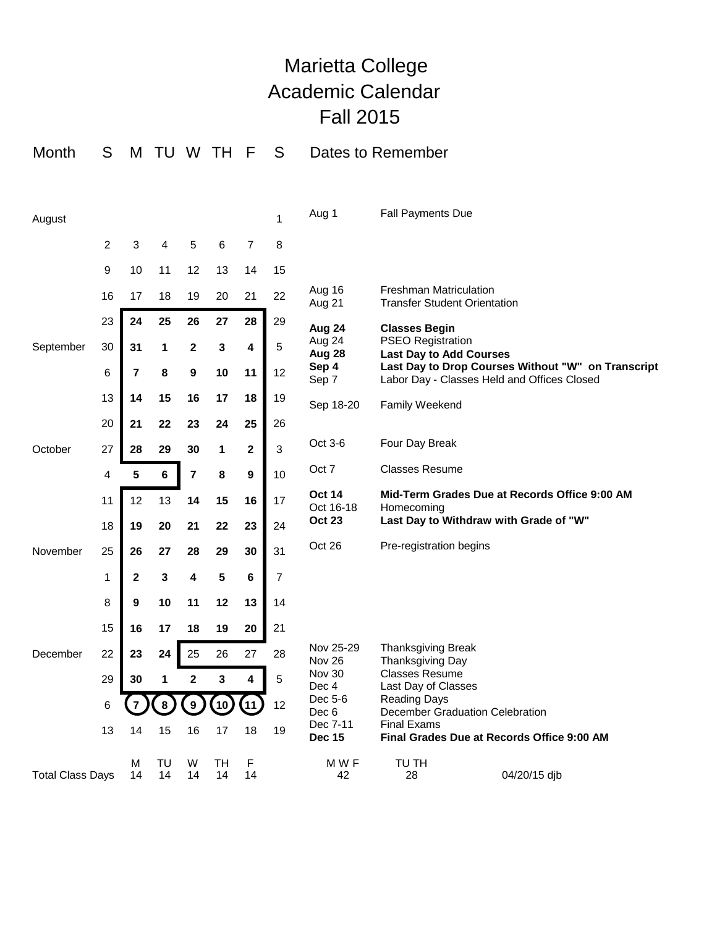## Marietta College Academic Calendar Fall 2015

| Month                   | S              | M              | TU       |                         | W TH     | F                | S  | Dates to Remember                           |                                                                                                       |                                                                                                   |  |
|-------------------------|----------------|----------------|----------|-------------------------|----------|------------------|----|---------------------------------------------|-------------------------------------------------------------------------------------------------------|---------------------------------------------------------------------------------------------------|--|
| August                  |                |                |          |                         |          |                  | 1  | Aug 1                                       | <b>Fall Payments Due</b>                                                                              |                                                                                                   |  |
|                         | $\overline{2}$ | 3              | 4        | 5                       | 6        | $\overline{7}$   | 8  |                                             |                                                                                                       |                                                                                                   |  |
|                         | 9              | 10             | 11       | 12                      | 13       | 14               | 15 |                                             |                                                                                                       |                                                                                                   |  |
|                         | 16             | 17             | 18       | 19                      | 20       | 21               | 22 | Aug 16<br>Aug 21                            | <b>Freshman Matriculation</b><br><b>Transfer Student Orientation</b>                                  |                                                                                                   |  |
|                         | 23             | 24             | 25       | 26                      | 27       | 28               | 29 | Aug 24                                      | <b>Classes Begin</b>                                                                                  |                                                                                                   |  |
| September               | 30             | 31             | 1        | $\mathbf 2$             | 3        | 4                | 5  | Aug 24<br>Aug 28                            | <b>PSEO Registration</b><br><b>Last Day to Add Courses</b>                                            |                                                                                                   |  |
|                         | 6              | $\overline{7}$ | 8        | 9                       | 10       | 11               | 12 | Sep 4<br>Sep 7                              |                                                                                                       | Last Day to Drop Courses Without "W" on Transcript<br>Labor Day - Classes Held and Offices Closed |  |
|                         | 13             | 14             | 15       | 16                      | 17       | 18               | 19 | Sep 18-20                                   | Family Weekend                                                                                        |                                                                                                   |  |
|                         | 20             | 21             | 22       | 23                      | 24       | 25               | 26 |                                             |                                                                                                       |                                                                                                   |  |
| October                 | 27             | 28             | 29       | 30                      | 1        | $\mathbf{2}$     | 3  | Oct 3-6                                     | Four Day Break                                                                                        |                                                                                                   |  |
|                         | 4              | 5              | $\bf 6$  | $\overline{\mathbf{r}}$ | 8        | $\boldsymbol{9}$ | 10 | Oct 7                                       | <b>Classes Resume</b>                                                                                 |                                                                                                   |  |
|                         | 11             | 12             | 13       | 14                      | 15       | 16               | 17 | <b>Oct 14</b><br>Oct 16-18<br><b>Oct 23</b> | Mid-Term Grades Due at Records Office 9:00 AM<br>Homecoming<br>Last Day to Withdraw with Grade of "W" |                                                                                                   |  |
|                         | 18             | 19             | 20       | 21                      | 22       | 23               | 24 |                                             |                                                                                                       |                                                                                                   |  |
| November                | 25             | 26             | 27       | 28                      | 29       | 30               | 31 | Oct 26                                      | Pre-registration begins                                                                               |                                                                                                   |  |
|                         | 1              | $\mathbf{2}$   | 3        | 4                       | 5        | $\bf 6$          | 7  |                                             |                                                                                                       |                                                                                                   |  |
|                         | 8              | 9              | 10       | 11                      | 12       | 13               | 14 |                                             |                                                                                                       |                                                                                                   |  |
|                         | 15             | 16             | 17       | 18                      | 19       | 20               | 21 |                                             |                                                                                                       |                                                                                                   |  |
| December                | 22             | 23             | 24       | 25                      | 26       | 27               | 28 | Nov 25-29<br>Nov 26<br>Nov 30<br>Dec 4      | <b>Thanksgiving Break</b><br>Thanksgiving Day<br><b>Classes Resume</b><br>Last Day of Classes         |                                                                                                   |  |
|                         | 29             | 30             | 1        | $\mathbf{2}$            | 3        | 4                | 5  |                                             |                                                                                                       |                                                                                                   |  |
|                         | 6              |                | 8        | 9 <sub>2</sub>          | (10)     | (11)             | 12 | Dec 5-6<br>Dec 6                            | <b>Reading Days</b><br>December Graduation Celebration                                                |                                                                                                   |  |
|                         | 13             | 14             | 15       | 16                      | 17       | 18               | 19 | Dec 7-11<br><b>Dec 15</b>                   | <b>Final Exams</b><br>Final Grades Due at Records Office 9:00 AM                                      |                                                                                                   |  |
| <b>Total Class Days</b> |                | M<br>14        | TU<br>14 | W<br>14                 | TH<br>14 | F<br>14          |    | M W F<br>42                                 | TU TH<br>28                                                                                           | 04/20/15 djb                                                                                      |  |